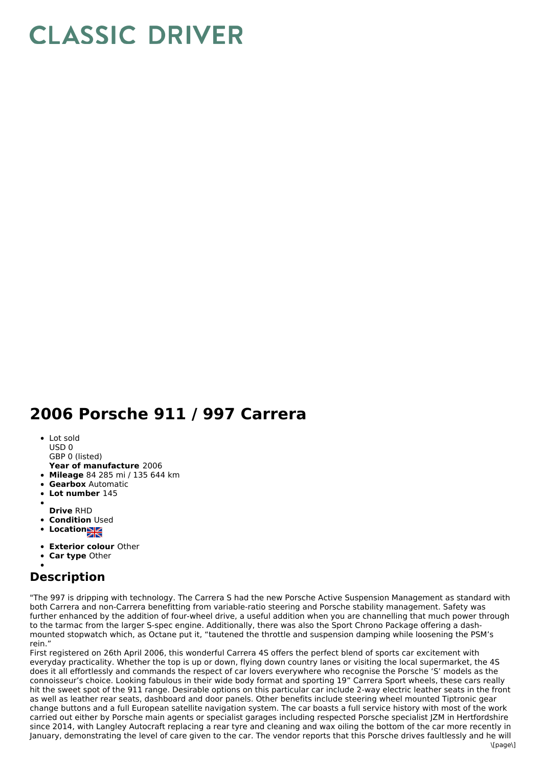## **CLASSIC DRIVER**

## **2006 Porsche 911 / 997 Carrera**

- Lot sold
- USD 0
- GBP 0 (listed)
- **Year of manufacture** 2006
- **Mileage** 84 285 mi / 135 644 km **Gearbox** Automatic
- 
- **Lot number** 145
- **Drive** RHD
- **Condition Used**
- **Locations**
- 
- **Exterior colour** Other
- **Car type** Other

## **Description**

"The 997 is dripping with technology. The Carrera S had the new Porsche Active Suspension Management as standard with both Carrera and non-Carrera benefitting from variable-ratio steering and Porsche stability management. Safety was further enhanced by the addition of four-wheel drive, a useful addition when you are channelling that much power through to the tarmac from the larger S-spec engine. Additionally, there was also the Sport Chrono Package offering a dash mounted stopwatch which, as Octane put it, "tautened the throttle and suspension damping while loosening the PSM's rein."

First registered on 26th April 2006, this wonderful Carrera 4S offers the perfect blend of sports car excitement with everyday practicality. Whether the top is up or down, flying down country lanes or visiting the local supermarket, the 4S does it all effortlessly and commands the respect of car lovers everywhere who recognise the Porsche 'S' models as the connoisseur's choice. Looking fabulous in their wide body format and sporting 19" Carrera Sport wheels, these cars really hit the sweet spot of the 911 range. Desirable options on this particular car include 2-way electric leather seats in the front as well as leather rear seats, dashboard and door panels. Other benefits include steering wheel mounted Tiptronic gear change buttons and a full European satellite navigation system. The car boasts a full service history with most of the work carried out either by Porsche main agents or specialist garages including respected Porsche specialist JZM in Hertfordshire since 2014, with Langley Autocraft replacing a rear tyre and cleaning and wax oiling the bottom of the car more recently in January, demonstrating the level of care given to the car. The vendor reports that this Porsche drives faultlessly and he will  $\frac{1}{2}$